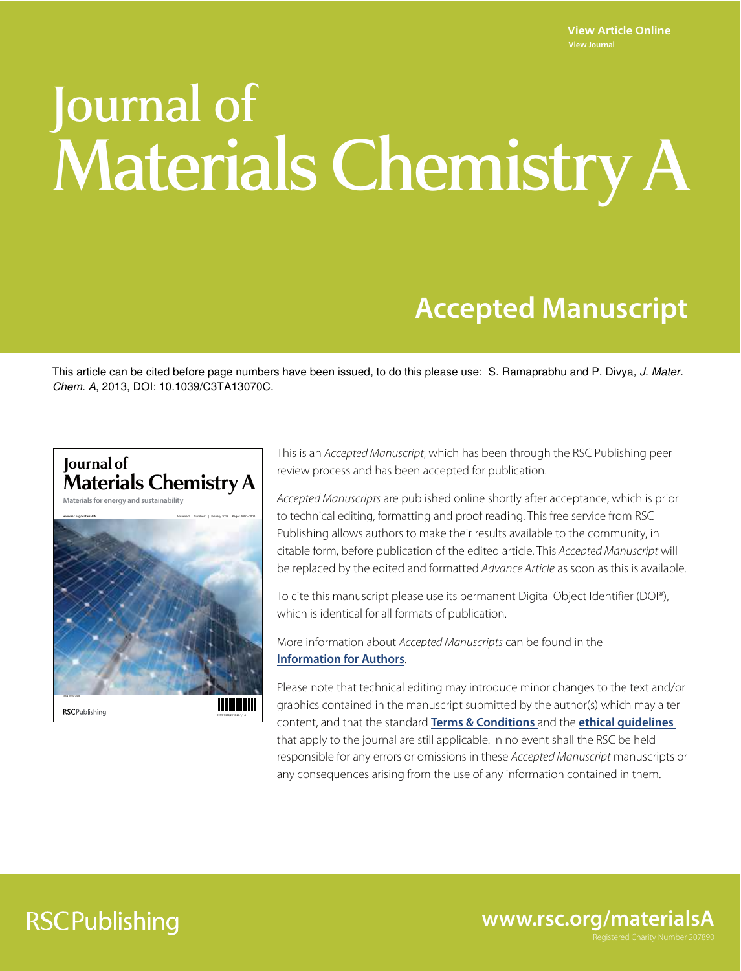**View Article Online View Journal**

# Journal of Materials Chemistry A

## **Accepted Manuscript**

This article can be cited before page numbers have been issued, to do this please use: S. Ramaprabhu and P. Divya, J. Mater. Chem. A, 2013, DOI: 10.1039/C3TA13070C.





0959-9428(2010)20:1;1-A

This is an Accepted Manuscript, which has been through the RSC Publishing peer review process and has been accepted for publication.

Accepted Manuscripts are published online shortly after acceptance, which is prior to technical editing, formatting and proof reading. This free service from RSC Publishing allows authors to make their results available to the community, in citable form, before publication of the edited article. This Accepted Manuscript will be replaced by the edited and formatted Advance Article as soon as this is available.

To cite this manuscript please use its permanent Digital Object Identifier (DOI®), which is identical for all formats of publication.

More information about Accepted Manuscripts can be found in the **Information for Authors**.

Please note that technical editing may introduce minor changes to the text and/or graphics contained in the manuscript submitted by the author(s) which may alter content, and that the standard **Terms & Conditions** and the **ethical guidelines**  that apply to the journal are still applicable. In no event shall the RSC be held responsible for any errors or omissions in these Accepted Manuscript manuscripts or any consequences arising from the use of any information contained in them.

## **RSCPublishing**

**www.rsc.org/materialsA**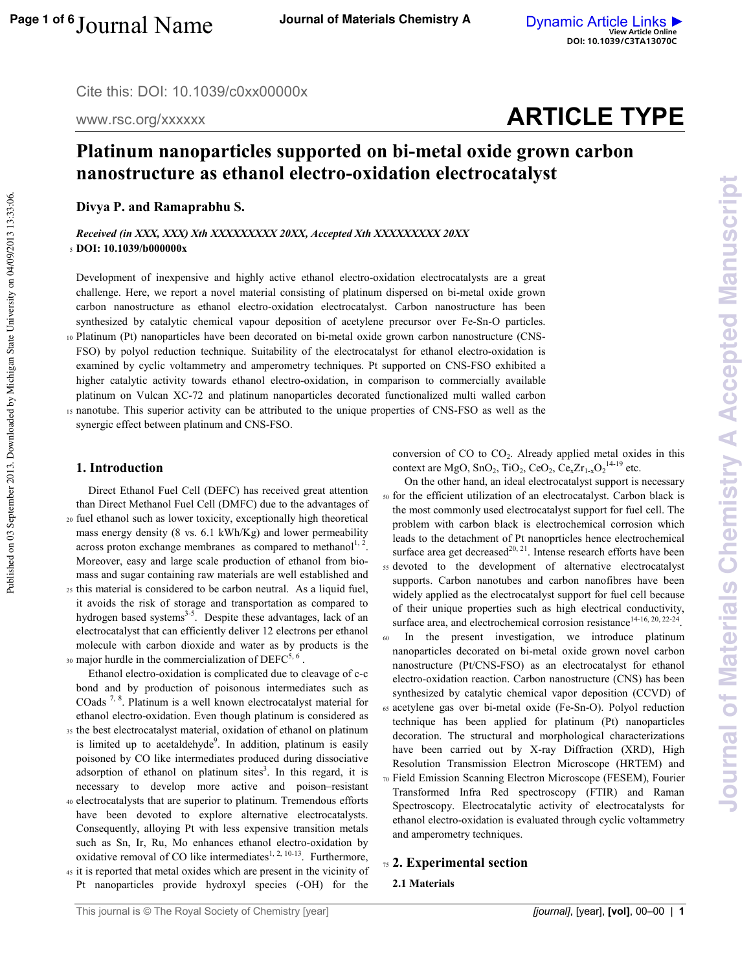Cite this: DOI: 10.1039/c0xx00000x

www.rsc.org/xxxxxx

### Platinum nanoparticles supported on bi-metal oxide grown carbon  $\blacksquare$  **nanostructure as ethanol electro-oxidation electrocatalyst**

Divya P. and Ramaprabhu S.

Received (in XXX, XXX) Xth XXXXXXXXX 20XX, Accepted Xth XXXXXXXX 20XX 5 DOI: 10.1039/b000000x

Development of inexpensive and highly active ethanol electro-oxidation electrocatalysts are a great challenge. Here, we report a novel material consisting of platinum dispersed on bi-metal oxide grown carbon nanostructure as ethanol electro-oxidation electrocatalyst. Carbon nanostructure has been synthesized by catalytic chemical vapour deposition of acetylene precursor over Fe-Sn-O particles. <sup>10</sup>Platinum (Pt) nanoparticles have been decorated on bimetal oxide grown carbon nanostructure (CNS

FSO) by polyol reduction technique. Suitability of the electrocatalyst for ethanol electro-oxidation is examined by cyclic voltammetry and amperometry techniques. Pt supported on CNS-FSO exhibited a higher catalytic activity towards ethanol electro-oxidation, in comparison to commercially available platinum on Vulcan XC72 and platinum nanoparticles decorated functionalized multi walled carbon <sup>15</sup>nanotube. This superior activity can be attributed to the unique properties of CNSFSO as well as the synergic effect between platinum and CNS-FSO.

#### 1. Introduction

Published on 03 September 2013. Downloaded by Michigan State University on 04/09/2013 13:33:06.

Published on 03 September 2013. Downloaded by Michigan State University on 04/09/2013 13:33:06

 Direct Ethanol Fuel Cell (DEFC) has received great attention than Direct Methanol Fuel Cell (DMFC) due to the advantages of <sup>20</sup>fuel ethanol such as lower toxicity, exceptionally high theoretical mass energy density (8 vs. 6.1 kWh/Kg) and lower permeability across proton exchange membranes as compared to methanol<sup>1, 2</sup>. Moreover, easy and large scale production of ethanol from bio mass and sugar containing raw materials are well established and

<sup>25</sup>this material is considered to be carbon neutral. As a liquid fuel, it avoids the risk of storage and transportation as compared to hydrogen based systems<sup>3-5</sup>. Despite these advantages, lack of an electrocatalyst that can efficiently deliver 12 electrons per ethanol molecule with carbon dioxide and water as by products is the  $_{30}$  major hurdle in the commercialization of DEFC<sup>5, 6</sup>.

Ethanol electro-oxidation is complicated due to cleavage of c-c bond and by production of poisonous intermediates such as COads 7, 8. Platinum is a well known electrocatalyst material for ethanol electro-oxidation. Even though platinum is considered as <sup>35</sup>the best electrocatalyst material, oxidation of ethanol on platinum is limited up to acetaldehyde<sup>9</sup>. In addition, platinum is easily poisoned by CO like intermediates produced during dissociative adsorption of ethanol on platinum sites<sup>3</sup>. In this regard, it is necessary to develop more active and poison–resistant <sup>40</sup>electrocatalysts that are superior to platinum. Tremendous efforts have been devoted to explore alternative electrocatalysts.

- Consequently, alloying Pt with less expensive transition metals such as Sn, Ir, Ru, Mo enhances ethanol electro-oxidation by oxidative removal of CO like intermediates<sup>1, 2, 10-13</sup>. Furthermore, <sup>45</sup>it is reported that metal oxides which are present in the vicinity of
- Pt nanoparticles provide hydroxyl species (-OH) for the

conversion of  $CO$  to  $CO<sub>2</sub>$ . Already applied metal oxides in this context are MgO,  $SnO_2$ ,  $TiO_2$ ,  $CeO_2$ ,  $Ce_xZr_{1-x}O_2^{14-19}$  etc.

- On the other hand, an ideal electrocatalyst support is necessary <sup>50</sup>for the efficient utilization of an electrocatalyst. Carbon black is the most commonly used electrocatalyst support for fuel cell. The problem with carbon black is electrochemical corrosion which leads to the detachment of Pt nanoprticles hence electrochemical surface area get decreased<sup>20, 21</sup>. Intense research efforts have been <sup>55</sup>devoted to the development of alternative electrocatalyst supports. Carbon nanotubes and carbon nanofibres have been widely applied as the electrocatalyst support for fuel cell because of their unique properties such as high electrical conductivity, surface area, and electrochemical corrosion resistance<sup>14-16, 20, 22-24</sup>.
- In the present investigation, we introduce platinum nanoparticles decorated on bi-metal oxide grown novel carbon nanostructure (Pt/CNS-FSO) as an electrocatalyst for ethanol electro-oxidation reaction. Carbon nanostructure (CNS) has been synthesized by catalytic chemical vapor deposition (CCVD) of 65 acetylene gas over bi-metal oxide (Fe-Sn-O). Polyol reduction technique has been applied for platinum (Pt) nanoparticles decoration. The structural and morphological characterizations have been carried out by X-ray Diffraction (XRD), High Resolution Transmission Electron Microscope (HRTEM) and <sup>70</sup>Field Emission Scanning Electron Microscope (FESEM), Fourier Transformed Infra Red spectroscopy (FTIR) and Raman Spectroscopy. Electrocatalytic activity of electrocatalysts for ethanol electro-oxidation is evaluated through cyclic voltammetry and amperometry techniques.

#### 75 2. Experimental section

#### **2.1 Materials**

## **ARTICLE TYPE**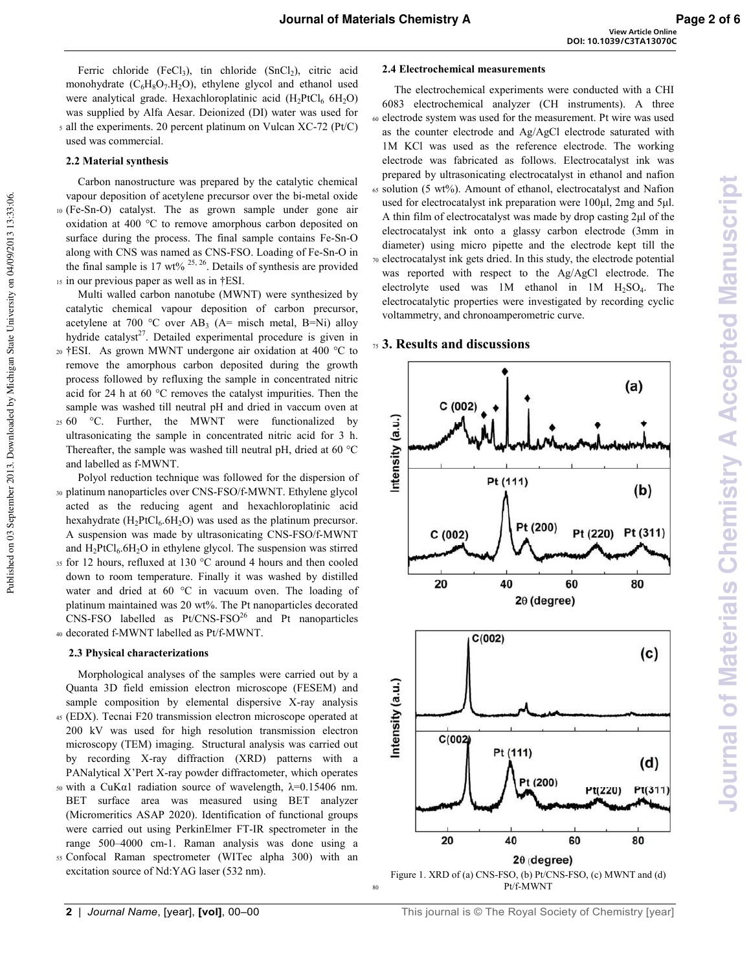Ferric chloride (FeCl<sub>3</sub>), tin chloride  $(SnCl<sub>2</sub>)$ , citric acid monohydrate  $(C_6H_8O_7.H_2O)$ , ethylene glycol and ethanol used were analytical grade. Hexachloroplatinic acid  $(H_2PtCl_6 6H_2O)$ was supplied by Alfa Aesar. Deionized (DI) water was used for 5 all the experiments. 20 percent platinum on Vulcan XC-72 (Pt/C) used was commercial.

#### 2.2 Material synthesis

Published on 03 September 2013. Downloaded by Michigan State University on 04/09/2013 13:33:06.

Published on 03 September 2013. Downloaded by Michigan State University on 04/09/2013 13:33:06

 Carbon nanostructure was prepared by the catalytic chemical vapour deposition of acetylene precursor over the bi-metal oxide 10 (Fe-Sn-O) catalyst. The as grown sample under gone air oxidation at 400 °C to remove amorphous carbon deposited on surface during the process. The final sample contains Fe-Sn-O along with CNS was named as CNS-FSO. Loading of Fe-Sn-O in the final sample is 17 wt%  $^{25, 26}$ . Details of synthesis are provided 15 in our previous paper as well as in †ESI.

 Multi walled carbon nanotube (MWNT) were synthesized by catalytic chemical vapour deposition of carbon precursor, acetylene at 700 °C over  $AB_3$  (A= misch metal, B=Ni) alloy hydride catalyst<sup>27</sup>. Detailed experimental procedure is given in <sup>20</sup>†ESI. As grown MWNT undergone air oxidation at 400 °C to remove the amorphous carbon deposited during the growth process followed by refluxing the sample in concentrated nitric

acid for 24 h at 60 °C removes the catalyst impurities. Then the sample was washed till neutral pH and dried in vaccum oven at  $2560$  °C. Further, the MWNT were functionalized by ultrasonicating the sample in concentrated nitric acid for 3 h. Thereafter, the sample was washed till neutral pH, dried at 60 °C and labelled as f-MWNT.

 Polyol reduction technique was followed for the dispersion of 30 platinum nanoparticles over CNS-FSO/f-MWNT. Ethylene glycol acted as the reducing agent and hexachloroplatinic acid hexahydrate  $(H_2PtCl_6.6H_2O)$  was used as the platinum precursor. A suspension was made by ultrasonicating CNS-FSO/f-MWNT and  $H_2PtCl_6.6H_2O$  in ethylene glycol. The suspension was stirred <sup>35</sup>for 12 hours, refluxed at 130 °C around 4 hours and then cooled down to room temperature. Finally it was washed by distilled water and dried at 60 °C in vacuum oven. The loading of platinum maintained was 20 wt%. The Pt nanoparticles decorated  $CNS-FSO$  labelled as  $Pt/CNS-FSO<sup>26</sup>$  and Pt nanoparticles 40 decorated f-MWNT labelled as Pt/f-MWNT.

#### 2.3 Physical characterizations

 Morphological analyses of the samples were carried out by a Quanta 3D field emission electron microscope (FESEM) and sample composition by elemental dispersive X-ray analysis <sup>45</sup>(EDX). Tecnai F20 transmission electron microscope operated at 200 kV was used for high resolution transmission electron microscopy (TEM) imaging. Structural analysis was carried out by recording X-ray diffraction (XRD) patterns with a PANalytical X'Pert X-ray powder diffractometer, which operates 50 with a CuKα1 radiation source of wavelength,  $λ=0.15406$  nm. BET surface area was measured using BET analyzer (Micromeritics ASAP 2020). Identification of functional groups were carried out using PerkinElmer FT-IR spectrometer in the range 500–4000 cm1. Raman analysis was done using a

<sup>55</sup>Confocal Raman spectrometer (WITec alpha 300) with an excitation source of Nd:YAG laser (532 nm).

#### 2.4 Electrochemical measurements

 The electrochemical experiments were conducted with a CHI 6083 electrochemical analyzer (CH instruments). A three <sup>60</sup>electrode system was used for the measurement. Pt wire was used as the counter electrode and Ag/AgCl electrode saturated with 1M KCl was used as the reference electrode. The working electrode was fabricated as follows. Electrocatalyst ink was prepared by ultrasonicating electrocatalyst in ethanol and nafion <sup>65</sup>solution (5 wt%). Amount of ethanol, electrocatalyst and Nafion used for electrocatalyst ink preparation were  $100\mu$ l, 2mg and 5 $\mu$ l. A thin film of electrocatalyst was made by drop casting  $2\mu$ l of the electrocatalyst ink onto a glassy carbon electrode (3mm in diameter) using micro pipette and the electrode kept till the <sup>70</sup>electrocatalyst ink gets dried. In this study, the electrode potential was reported with respect to the Ag/AgCl electrode. The electrolyte used was  $1M$  ethanol in  $1M$   $H_2SO_4$ . The electrocatalytic properties were investigated by recording cyclic voltammetry, and chronoamperometric curve.

#### 75 3. Results and discussions

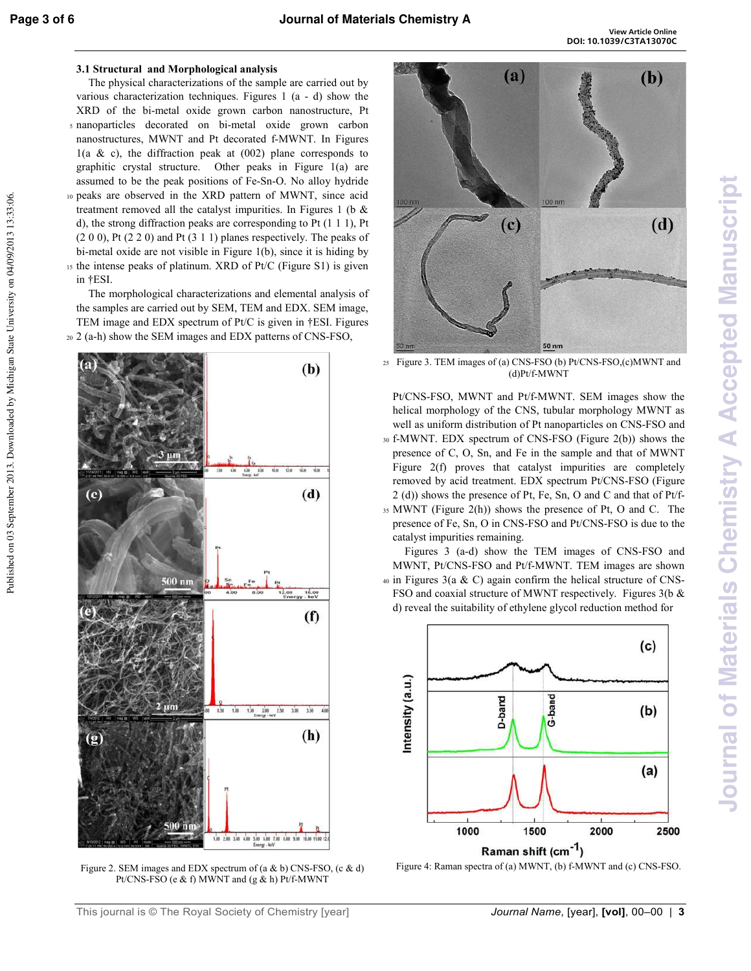Published on 03 September 2013. Downloaded by Michigan State University on 04/09/2013 13:33:06.

Published on 03 September 2013. Downloaded by Michigan State University on 04/09/2013 13:33:06

#### 3.1 Structural and Morphological analysis

 The physical characterizations of the sample are carried out by various characterization techniques. Figures 1  $(a - d)$  show the XRD of the bi-metal oxide grown carbon nanostructure, Pt 5 nanoparticles decorated on bi-metal oxide grown carbon nanostructures, MWNT and Pt decorated f-MWNT. In Figures 1(a  $\&$  c), the diffraction peak at (002) plane corresponds to graphitic crystal structure. Other peaks in Figure 1(a) are assumed to be the peak positions of Fe-Sn-O. No alloy hydride 10 peaks are observed in the XRD pattern of MWNT, since acid treatment removed all the catalyst impurities. In Figures 1 (b & d), the strong diffraction peaks are corresponding to Pt (1 1 1), Pt  $(2 0 0)$ , Pt  $(2 2 0)$  and Pt  $(3 1 1)$  planes respectively. The peaks of bi-metal oxide are not visible in Figure  $1(b)$ , since it is hiding by  $15$  the intense peaks of platinum. XRD of Pt/C (Figure S1) is given in †ESI.

 The morphological characterizations and elemental analysis of the samples are carried out by SEM, TEM and EDX. SEM image, TEM image and EDX spectrum of Pt/C is given in †ESI. Figures 20 2 (a-h) show the SEM images and EDX patterns of CNS-FSO,



Figure 2. SEM images and EDX spectrum of (a & b) CNS-FSO, (c & d) Pt/CNS-FSO (e  $&$  f) MWNT and (g  $&$  h) Pt/f-MWNT



25 Figure 3. TEM images of (a) CNS-FSO (b) Pt/CNS-FSO,(c)MWNT and  $(d)Pt/f-MWNT$ 

Pt/CNS-FSO, MWNT and Pt/f-MWNT. SEM images show the helical morphology of the CNS, tubular morphology MWNT as well as uniform distribution of Pt nanoparticles on CNS-FSO and

- <sup>30</sup>fMWNT. EDX spectrum of CNSFSO (Figure 2(b)) shows the presence of C, O, Sn, and Fe in the sample and that of MWNT Figure 2(f) proves that catalyst impurities are completely removed by acid treatment. EDX spectrum Pt/CNS-FSO (Figure 2 (d)) shows the presence of Pt, Fe, Sn, O and C and that of Pt/f
- <sup>35</sup>MWNT (Figure 2(h)) shows the presence of Pt, O and C. The presence of Fe, Sn, O in CNS-FSO and Pt/CNS-FSO is due to the catalyst impurities remaining.

Figures 3 (a-d) show the TEM images of CNS-FSO and MWNT, Pt/CNS-FSO and Pt/f-MWNT. TEM images are shown  $40$  in Figures 3(a & C) again confirm the helical structure of CNS-FSO and coaxial structure of MWNT respectively. Figures 3(b & d) reveal the suitability of ethylene glycol reduction method for



Figure 4: Raman spectra of (a) MWNT, (b) f-MWNT and (c) CNS-FSO.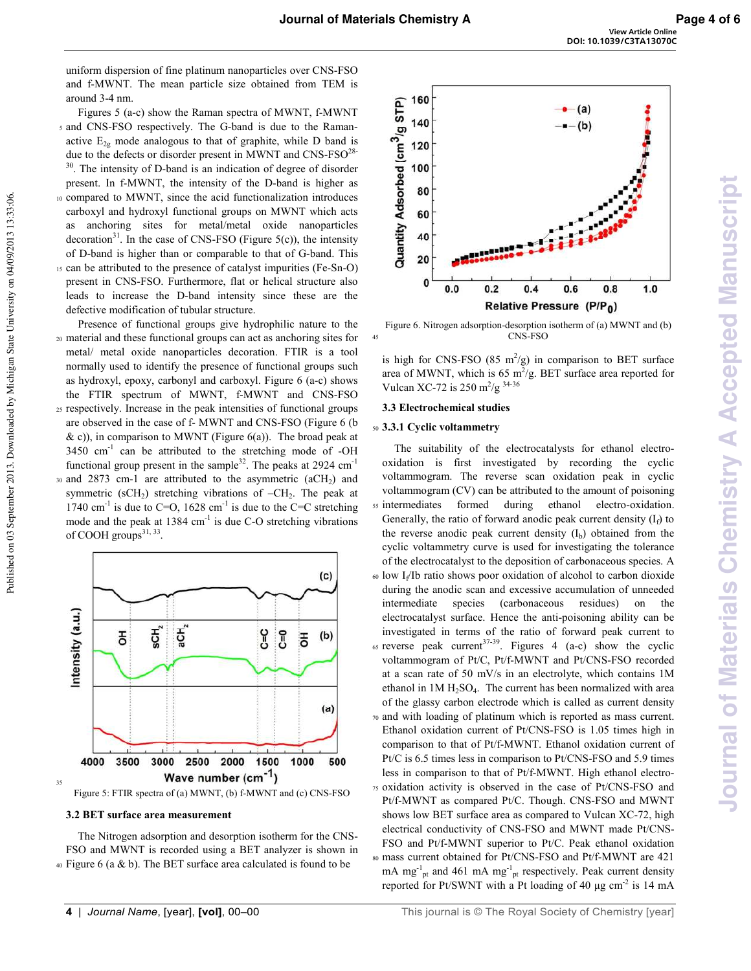uniform dispersion of fine platinum nanoparticles over CNS-FSO and f-MWNT. The mean particle size obtained from TEM is around 3-4 nm.

Figures 5 (a-c) show the Raman spectra of MWNT, f-MWNT 5 and CNS-FSO respectively. The G-band is due to the Ramanactive  $E_{2g}$  mode analogous to that of graphite, while D band is due to the defects or disorder present in MWNT and  $CNS-FSO<sup>28</sup>$ 

<sup>30</sup>. The intensity of D-band is an indication of degree of disorder present. In f-MWNT, the intensity of the D-band is higher as 10 compared to MWNT, since the acid functionalization introduces carboxyl and hydroxyl functional groups on MWNT which acts as anchoring sites for metal/metal oxide nanoparticles decoration<sup>31</sup>. In the case of CNS-FSO (Figure 5(c)), the intensity of D-band is higher than or comparable to that of G-band. This 15 can be attributed to the presence of catalyst impurities (Fe-Sn-O) present in CNS-FSO. Furthermore, flat or helical structure also leads to increase the D-band intensity since these are the defective modification of tubular structure.

 Presence of functional groups give hydrophilic nature to the <sup>20</sup>material and these functional groups can act as anchoring sites for metal/ metal oxide nanoparticles decoration. FTIR is a tool normally used to identify the presence of functional groups such as hydroxyl, epoxy, carbonyl and carboxyl. Figure 6 (a-c) shows the FTIR spectrum of MWNT, f-MWNT and CNS-FSO <sup>25</sup>respectively. Increase in the peak intensities of functional groups are observed in the case of f- MWNT and CNS-FSO (Figure 6 (b) & c)), in comparison to MWNT (Figure  $6(a)$ ). The broad peak at  $3450$  cm<sup>-1</sup> can be attributed to the stretching mode of -OH functional group present in the sample<sup>32</sup>. The peaks at 2924 cm<sup>-1</sup>  $30$  and 2873 cm-1 are attributed to the asymmetric  $(aCH<sub>2</sub>)$  and symmetric ( $sCH<sub>2</sub>$ ) stretching vibrations of  $-CH<sub>2</sub>$ . The peak at 1740 cm<sup>-1</sup> is due to C=O, 1628 cm<sup>-1</sup> is due to the C=C stretching mode and the peak at  $1384 \text{ cm}^{-1}$  is due C-O stretching vibrations of COOH groups $^{31, 33}$ .



Figure 5: FTIR spectra of (a) MWNT, (b)  $f$ -MWNT and (c) CNS-FSO

#### 3.2 BET surface area measurement

35

 The Nitrogen adsorption and desorption isotherm for the CNS FSO and MWNT is recorded using a BET analyzer is shown in  $40$  Figure 6 (a & b). The BET surface area calculated is found to be



**View Article Online DOI: 10.1039/C3TA13070C**

Figure 6. Nitrogen adsorption-desorption isotherm of (a) MWNT and (b) 45 CNS-FSO

is high for CNS-FSO (85  $m^2/g$ ) in comparison to BET surface area of MWNT, which is 65  $m^2/g$ . BET surface area reported for Vulcan XC-72 is 250 m<sup>2</sup>/g<sup>34-36</sup>

#### 3.3 Electrochemical studies

#### **50 3.3.1 Cyclic voltammetry**

 The suitability of the electrocatalysts for ethanol electro oxidation is first investigated by recording the cyclic voltammogram. The reverse scan oxidation peak in cyclic voltammogram (CV) can be attributed to the amount of poisoning <sub>55</sub> intermediates formed during ethanol electro-oxidation. Generally, the ratio of forward anodic peak current density  $(I_f)$  to the reverse anodic peak current density  $(I_b)$  obtained from the cyclic voltammetry curve is used for investigating the tolerance of the electrocatalyst to the deposition of carbonaceous species. A 60 low I<sub>f</sub>/Ib ratio shows poor oxidation of alcohol to carbon dioxide during the anodic scan and excessive accumulation of unneeded

intermediate species (carbonaceous residues) on the electrocatalyst surface. Hence the anti-poisoning ability can be investigated in terms of the ratio of forward peak current to 65 reverse peak current<sup>37-39</sup>. Figures 4 (a-c) show the cyclic voltammogram of Pt/C, Pt/f-MWNT and Pt/CNS-FSO recorded at a scan rate of 50 mV/s in an electrolyte, which contains 1M ethanol in  $1M H<sub>2</sub>SO<sub>4</sub>$ . The current has been normalized with area of the glassy carbon electrode which is called as current density <sup>70</sup>and with loading of platinum which is reported as mass current. Ethanol oxidation current of Pt/CNS-FSO is 1.05 times high in comparison to that of Pt/f-MWNT. Ethanol oxidation current of Pt/C is 6.5 times less in comparison to Pt/CNS-FSO and 5.9 times less in comparison to that of Pt/f-MWNT. High ethanol electro-75 oxidation activity is observed in the case of Pt/CNS-FSO and Pt/f-MWNT as compared Pt/C. Though. CNS-FSO and MWNT shows low BET surface area as compared to Vulcan XC-72, high electrical conductivity of CNS-FSO and MWNT made Pt/CNS-FSO and Pt/f-MWNT superior to Pt/C. Peak ethanol oxidation 80 mass current obtained for Pt/CNS-FSO and Pt/f-MWNT are 421 mA mg<sup>-1</sup><sub>pt</sub> and 461 mA mg<sup>-1</sup><sub>pt</sub> respectively. Peak current density reported for Pt/SWNT with a Pt loading of 40  $\mu$ g cm<sup>-2</sup> is 14 mA

Published on 03 September 2013. Downloaded by Michigan State University on 04/09/2013 13:33:06.

Published on 03 September 2013. Downloaded by Michigan State University on 04/09/2013 13:33:06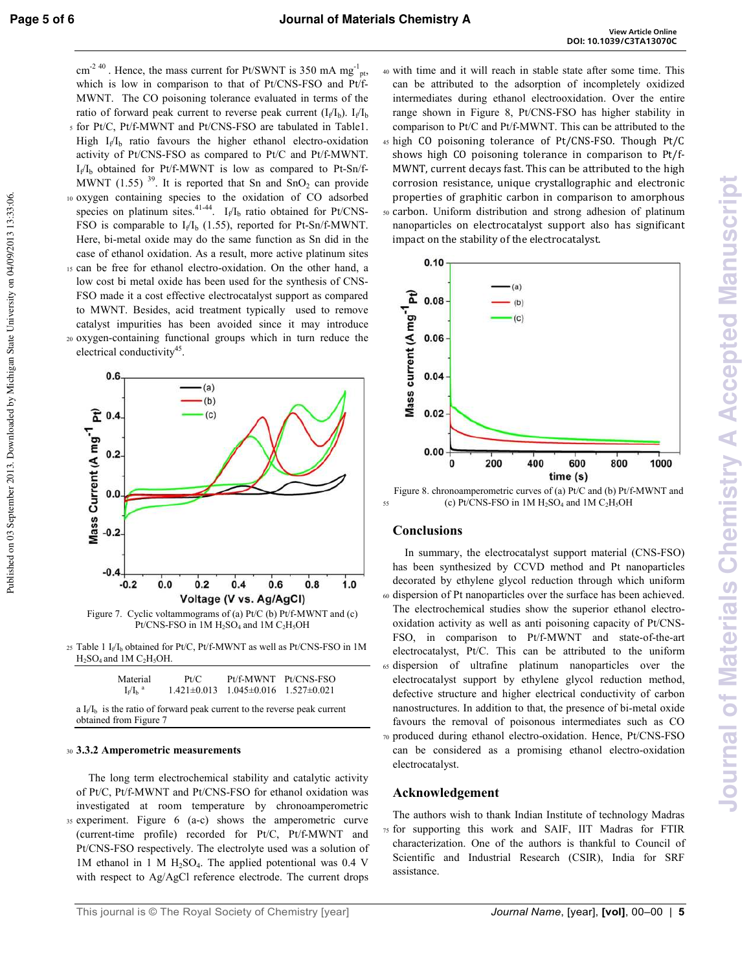Published on 03 September 2013. Downloaded by Michigan State University on 04/09/2013 13:33:06.

Published on 03 September 2013. Downloaded by Michigan State University on 04/09/2013 13:33:06.

cm<sup>-2 40</sup>. Hence, the mass current for Pt/SWNT is 350 mA mg<sup>-1</sup><sub>pt</sub>, which is low in comparison to that of Pt/CNS-FSO and Pt/f-MWNT. The CO poisoning tolerance evaluated in terms of the ratio of forward peak current to reverse peak current  $(I_f/I_b)$ .  $I_f/I_b$ 5 for Pt/C, Pt/f-MWNT and Pt/CNS-FSO are tabulated in Table1. High  $I_f/I_b$  ratio favours the higher ethanol electro-oxidation activity of Pt/CNS-FSO as compared to Pt/C and Pt/f-MWNT.  $I_f/I_b$  obtained for Pt/f-MWNT is low as compared to Pt-Sn/f-MWNT (1.55)<sup>39</sup>. It is reported that Sn and  $SnO<sub>2</sub>$  can provide <sup>10</sup>oxygen containing species to the oxidation of CO adsorbed species on platinum sites.<sup>41-44</sup>. I<sub>f</sub>/I<sub>b</sub> ratio obtained for Pt/CNS-FSO is comparable to  $I_f/I_b$  (1.55), reported for Pt-Sn/f-MWNT. Here, bi-metal oxide may do the same function as Sn did in the case of ethanol oxidation. As a result, more active platinum sites 15 can be free for ethanol electro-oxidation. On the other hand, a low cost bi metal oxide has been used for the synthesis of CNS FSO made it a cost effective electrocatalyst support as compared to MWNT. Besides, acid treatment typically used to remove catalyst impurities has been avoided since it may introduce 20 oxygen-containing functional groups which in turn reduce the electrical conductivity<sup>45</sup>.



Pt/CNS-FSO in 1M H<sub>2</sub>SO<sub>4</sub> and 1M C<sub>2</sub>H<sub>5</sub>OH



| Material                           | Pt/C |                                                 | Pt/f-MWNT Pt/CNS-FSO |
|------------------------------------|------|-------------------------------------------------|----------------------|
| $I_{\rm f}/I_{\rm b}$ <sup>a</sup> |      | $1.421\pm0.013$ $1.045\pm0.016$ $1.527\pm0.021$ |                      |

a  $I_f/I_b$  is the ratio of forward peak current to the reverse peak current obtained from Figure 7

#### 30 3.3.2 Amperometric measurements

 The long term electrochemical stability and catalytic activity of Pt/C, Pt/f-MWNT and Pt/CNS-FSO for ethanol oxidation was investigated at room temperature by chronoamperometric 35 experiment. Figure 6 (a-c) shows the amperometric curve (current-time profile) recorded for Pt/C, Pt/f-MWNT and Pt/CNS-FSO respectively. The electrolyte used was a solution of 1M ethanol in 1 M  $H_2SO_4$ . The applied potentional was 0.4 V with respect to Ag/AgCl reference electrode. The current drops

<sup>40</sup>with time and it will reach in stable state after some time. This can be attributed to the adsorption of incompletely oxidized intermediates during ethanol electrooxidation. Over the entire range shown in Figure 8, Pt/CNS-FSO has higher stability in comparison to Pt/C and Pt/f-MWNT. This can be attributed to the <sup>45</sup>high CO poisoning tolerance of Pt/CNS-FSO. Though Pt/C shows high CO poisoning tolerance in comparison to Pt/f-MWNT, current decays fast. This can be attributed to the high corrosion resistance, unique crystallographic and electronic properties of graphitic carbon in comparison to amorphous 50 carbon. Uniform distribution and strong adhesion of platinum nanoparticles on electrocatalyst support also has significant impact on the stability of the electrocatalyst.



Figure 8. chronoamperometric curves of (a) Pt/C and (b) Pt/f-MWNT and  $55$  (c) Pt/CNS-FSO in 1M  $H_2SO_4$  and 1M  $C_2H_5OH$ 

#### $C$  onclusions

In summary, the electrocatalyst support material (CNS-FSO) has been synthesized by CCVD method and Pt nanoparticles decorated by ethylene glycol reduction through which uniform <sup>60</sup>dispersion of Pt nanoparticles over the surface has been achieved. The electrochemical studies show the superior ethanol electro oxidation activity as well as anti poisoning capacity of Pt/CNS FSO, in comparison to Pt/f-MWNT and state-of-the-art electrocatalyst, Pt/C. This can be attributed to the uniform <sup>65</sup>dispersion of ultrafine platinum nanoparticles over the electrocatalyst support by ethylene glycol reduction method, defective structure and higher electrical conductivity of carbon nanostructures. In addition to that, the presence of bi-metal oxide favours the removal of poisonous intermediates such as CO 70 produced during ethanol electro-oxidation. Hence, Pt/CNS-FSO

can be considered as a promising ethanol electro-oxidation electrocatalyst.

#### Acknowledgement

The authors wish to thank Indian Institute of technology Madras <sup>75</sup>for supporting this work and SAIF, IIT Madras for FTIR characterization. One of the authors is thankful to Council of Scientific and Industrial Research (CSIR), India for SRF assistance.